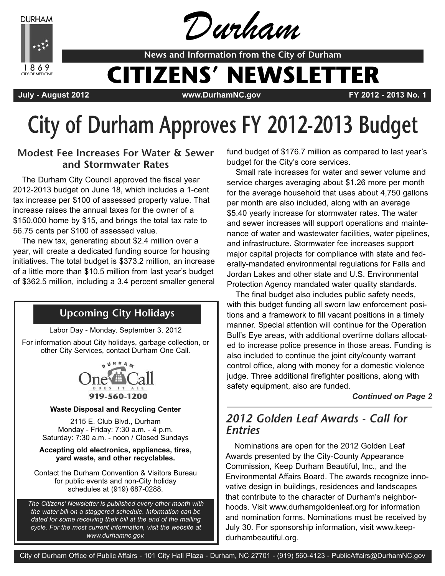**DURHAM** 



Durham

**News and Information from the City of Durham**

# **CITIZENS' NEWSLETTER**

**July - August 2012 www.DurhamNC.gov FY 2012 - 2013 No. 1**

# **City of Durham Approves FY 2012-2013 Budget**

### **Modest Fee Increases For Water & Sewer and Stormwater Rates**

The Durham City Council approved the fiscal year 2012-2013 budget on June 18, which includes a 1-cent tax increase per \$100 of assessed property value. That increase raises the annual taxes for the owner of a \$150,000 home by \$15, and brings the total tax rate to 56.75 cents per \$100 of assessed value.

The new tax, generating about \$2.4 million over a year, will create a dedicated funding source for housing initiatives. The total budget is \$373.2 million, an increase of a little more than \$10.5 million from last year's budget of \$362.5 million, including a 3.4 percent smaller general

# **Upcoming City Holidays**

Labor Day - Monday, September 3, 2012

For information about City holidays, garbage collection, or other City Services, contact Durham One Call.



#### **Waste Disposal and Recycling Center**

2115 E. Club Blvd., Durham Monday - Friday: 7:30 a.m. - 4 p.m. Saturday: 7:30 a.m. - noon / Closed Sundays

#### **Accepting old electronics, appliances, tires, yard waste, and other recyclables.**

Contact the Durham Convention & Visitors Bureau for public events and non-City holiday schedules at (919) 687-0288.

*The Citizens' Newsletter is published every other month with the water bill on a staggered schedule. Information can be dated for some receiving their bill at the end of the mailing cycle. For the most current information, visit the website at www.durhamnc.gov.*

fund budget of \$176.7 million as compared to last year's budget for the City's core services.

Small rate increases for water and sewer volume and service charges averaging about \$1.26 more per month for the average household that uses about 4,750 gallons per month are also included, along with an average \$5.40 yearly increase for stormwater rates. The water and sewer increases will support operations and maintenance of water and wastewater facilities, water pipelines, and infrastructure. Stormwater fee increases support major capital projects for compliance with state and federally-mandated environmental regulations for Falls and Jordan Lakes and other state and U.S. Environmental Protection Agency mandated water quality standards.

The final budget also includes public safety needs, with this budget funding all sworn law enforcement positions and a framework to fill vacant positions in a timely manner. Special attention will continue for the Operation Bull's Eye areas, with additional overtime dollars allocated to increase police presence in those areas. Funding is also included to continue the joint city/county warrant control office, along with money for a domestic violence judge. Three additional firefighter positions, along with safety equipment, also are funded.

*Continued on Page 2*

## *2012 Golden Leaf Awards - Call for Entries*

Nominations are open for the 2012 Golden Leaf Awards presented by the City-County Appearance Commission, Keep Durham Beautiful, Inc., and the Environmental Affairs Board. The awards recognize innovative design in buildings, residences and landscapes that contribute to the character of Durham's neighborhoods. Visit www.durhamgoldenleaf.org for information and nomination forms. Nominations must be received by July 30. For sponsorship information, visit www.keepdurhambeautiful.org.